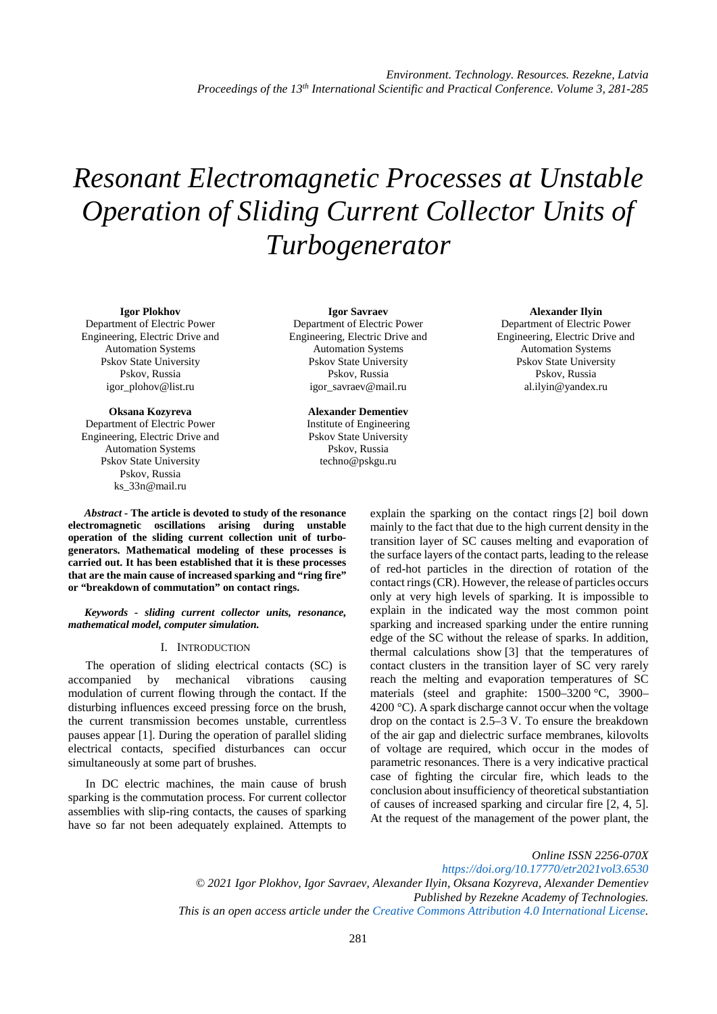# *Resonant Electromagnetic Processes at Unstable Operation of Sliding Current Collector Units of Turbogenerator*

**Igor Plokhov**

Department of Electric Power Engineering, Electric Drive and Automation Systems Pskov State University Pskov, Russia igor\_plohov@list.ru

**Oksana Kozyreva** Department of Electric Power Engineering, Electric Drive and Automation Systems Pskov State University Pskov, Russia ks\_33n@mail.ru

**Igor Savraev** Department of Electric Power Engineering, Electric Drive and Automation Systems Pskov State University Pskov, Russia igor\_savraev@mail.ru

> **Alexander Dementiev** Institute of Engineering Pskov State University Pskov, Russia techno@pskgu.ru

**Alexander Ilyin** Department of Electric Power Engineering, Electric Drive and Automation Systems Pskov State University Pskov, Russia [al.ilyin@yandex.ru](mailto:al.ilyin@yandex.ru)

*Abstract -* **The article is devoted to study of the resonance electromagnetic oscillations arising during unstable operation of the sliding current collection unit of turbogenerators. Mathematical modeling of these processes is carried out. It has been established that it is these processes that are the main cause of increased sparking and "ring fire" or "breakdown of commutation" on contact rings.**

*Keywords - sliding current collector units, resonance, mathematical model, computer simulation.*

#### I. INTRODUCTION

The operation of sliding electrical contacts (SC) is accompanied by mechanical vibrations causing modulation of current flowing through the contact. If the disturbing influences exceed pressing force on the brush, the current transmission becomes unstable, currentless pauses appear [1]. During the operation of parallel sliding electrical contacts, specified disturbances can occur simultaneously at some part of brushes.

In DC electric machines, the main cause of brush sparking is the commutation process. For current collector assemblies with slip-ring contacts, the causes of sparking have so far not been adequately explained. Attempts to

explain the sparking on the contact rings [2] boil down mainly to the fact that due to the high current density in the transition layer of SC causes melting and evaporation of the surface layers of the contact parts, leading to the release of red-hot particles in the direction of rotation of the contact rings (CR). However, the release of particles occurs only at very high levels of sparking. It is impossible to explain in the indicated way the most common point sparking and increased sparking under the entire running edge of the SC without the release of sparks. In addition, thermal calculations show [3] that the temperatures of contact clusters in the transition layer of SC very rarely reach the melting and evaporation temperatures of SC materials (steel and graphite: 1500–3200 °C, 3900– 4200  $^{\circ}$ C). A spark discharge cannot occur when the voltage drop on the contact is 2.5–3 V. To ensure the breakdown of the air gap and dielectric surface membranes, kilovolts of voltage are required, which occur in the modes of parametric resonances. There is a very indicative practical case of fighting the circular fire, which leads to the conclusion about insufficiency of theoretical substantiation of causes of increased sparking and circular fire [2, 4, 5]. At the request of the management of the power plant, the

*Online ISSN 2256-070X*

*<https://doi.org/10.17770/etr2021vol3.6530> © 2021 Igor Plokhov, Igor Savraev, Alexander Ilyin, Oksana Kozyreva, Alexander Dementiev Published by Rezekne Academy of Technologies. This is an open access article under the [Creative Commons Attribution 4.0 International License.](https://creativecommons.org/licenses/by/4.0/)*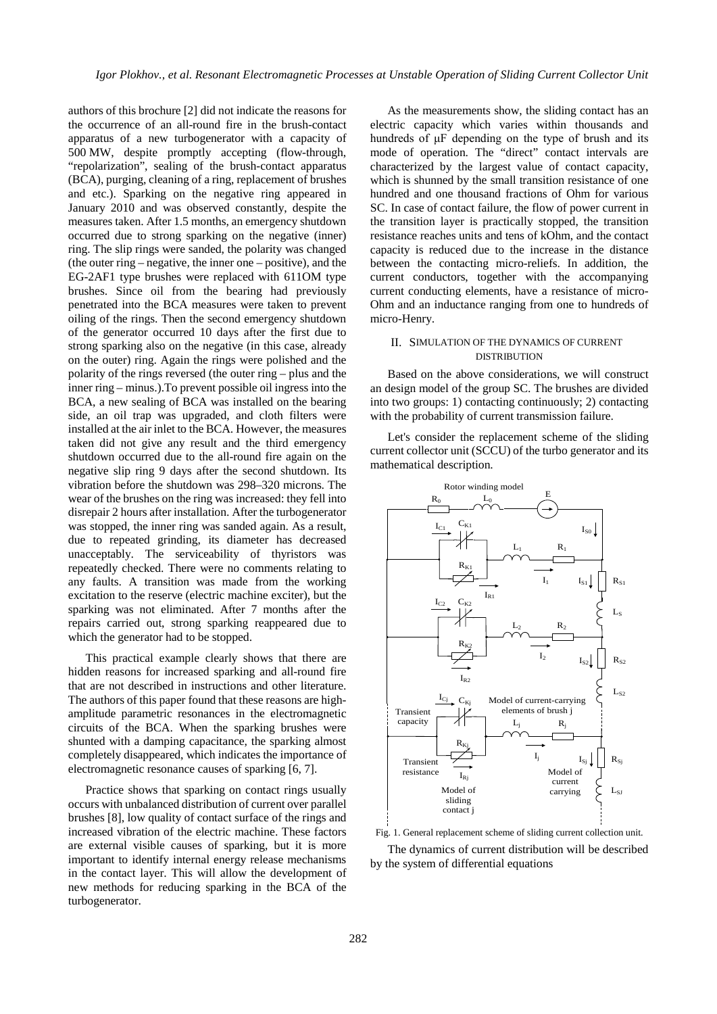authors of this brochure [2] did not indicate the reasons for the occurrence of an all-round fire in the brush-contact apparatus of a new turbogenerator with a capacity of 500 MW, despite promptly accepting (flow-through, "repolarization", sealing of the brush-contact apparatus (BCA), purging, cleaning of a ring, replacement of brushes and etc.). Sparking on the negative ring appeared in January 2010 and was observed constantly, despite the measures taken. After 1.5 months, an emergency shutdown occurred due to strong sparking on the negative (inner) ring. The slip rings were sanded, the polarity was changed (the outer ring – negative, the inner one – positive), and the EG-2AF1 type brushes were replaced with 611OM type brushes. Since oil from the bearing had previously penetrated into the BCA measures were taken to prevent oiling of the rings. Then the second emergency shutdown of the generator occurred 10 days after the first due to strong sparking also on the negative (in this case, already on the outer) ring. Again the rings were polished and the polarity of the rings reversed (the outer ring – plus and the inner ring – minus.).To prevent possible oil ingress into the BCA, a new sealing of BCA was installed on the bearing side, an oil trap was upgraded, and cloth filters were installed at the air inlet to the BCA. However, the measures taken did not give any result and the third emergency shutdown occurred due to the all-round fire again on the negative slip ring 9 days after the second shutdown. Its vibration before the shutdown was 298–320 microns. The wear of the brushes on the ring was increased: they fell into disrepair 2 hours after installation. After the turbogenerator was stopped, the inner ring was sanded again. As a result, due to repeated grinding, its diameter has decreased unacceptably. The serviceability of thyristors was repeatedly checked. There were no comments relating to any faults. A transition was made from the working excitation to the reserve (electric machine exciter), but the sparking was not eliminated. After 7 months after the repairs carried out, strong sparking reappeared due to which the generator had to be stopped.

This practical example clearly shows that there are hidden reasons for increased sparking and all-round fire that are not described in instructions and other literature. The authors of this paper found that these reasons are highamplitude parametric resonances in the electromagnetic circuits of the BCA. When the sparking brushes were shunted with a damping capacitance, the sparking almost completely disappeared, which indicates the importance of electromagnetic resonance causes of sparking [6, 7].

Practice shows that sparking on contact rings usually occurs with unbalanced distribution of current over parallel brushes [8], low quality of contact surface of the rings and increased vibration of the electric machine. These factors are external visible causes of sparking, but it is more important to identify internal energy release mechanisms in the contact layer. This will allow the development of new methods for reducing sparking in the BCA of the turbogenerator.

As the measurements show, the sliding contact has an electric capacity which varies within thousands and hundreds of μF depending on the type of brush and its mode of operation. The "direct" contact intervals are characterized by the largest value of contact capacity, which is shunned by the small transition resistance of one hundred and one thousand fractions of Ohm for various SC. In case of contact failure, the flow of power current in the transition layer is practically stopped, the transition resistance reaches units and tens of kOhm, and the contact capacity is reduced due to the increase in the distance between the contacting micro-reliefs. In addition, the current conductors, together with the accompanying current conducting elements, have a resistance of micro-Ohm and an inductance ranging from one to hundreds of micro-Henry.

## II. SIMULATION OF THE DYNAMICS OF CURRENT DISTRIBUTION

Based on the above considerations, we will construct an design model of the group SC. The brushes are divided into two groups: 1) contacting continuously; 2) contacting with the probability of current transmission failure.

Let's consider the replacement scheme of the sliding current collector unit (SCCU) of the turbo generator and its mathematical description.



Fig. 1. General replacement scheme of sliding current collection unit.

The dynamics of current distribution will be described by the system of differential equations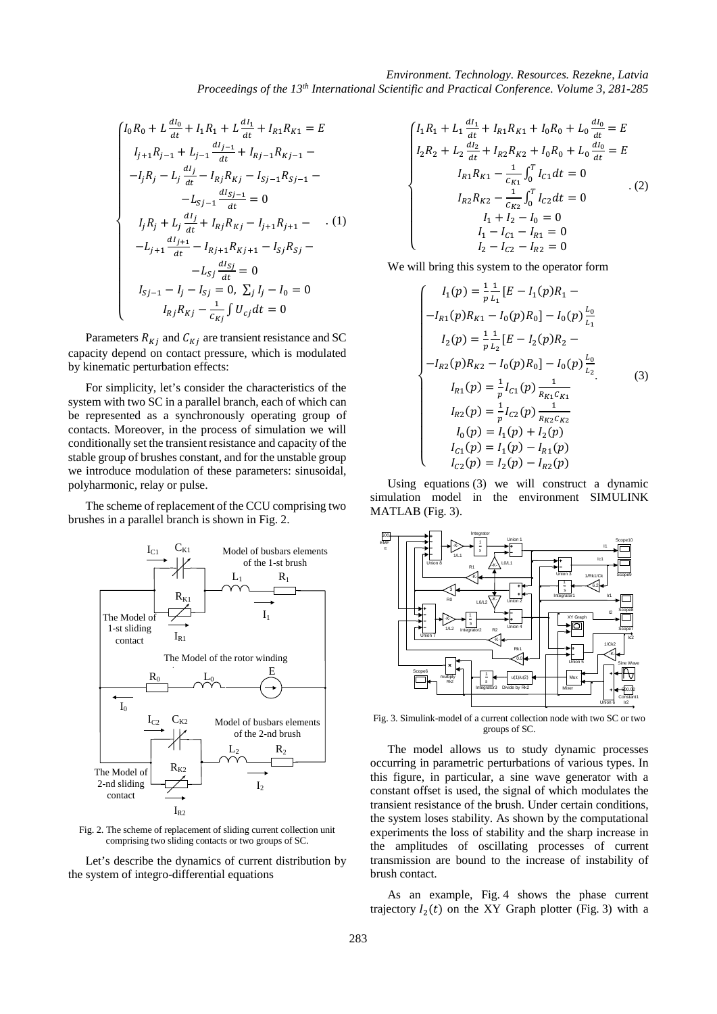$$
\begin{cases}\nI_0 R_0 + L \frac{dI_0}{dt} + I_1 R_1 + L \frac{dI_1}{dt} + I_{R1} R_{K1} = E \\
I_{j+1} R_{j-1} + L_{j-1} \frac{dI_{j-1}}{dt} + I_{Rj-1} R_{Kj-1} - \\
-I_j R_j - L_j \frac{dI_j}{dt} - I_{Rj} R_{Kj} - I_{Sj-1} R_{Sj-1} - \\
-L_{Sj-1} \frac{dI_{Sj-1}}{dt} = 0 \\
I_j R_j + L_j \frac{dI_j}{dt} + I_{Rj} R_{Kj} - I_{j+1} R_{j+1} - \dots (1) \\
-L_{j+1} \frac{dI_{j+1}}{dt} - I_{Rj+1} R_{Kj+1} - I_{Sj} R_{Sj} - \\
-L_{Sj} \frac{dI_{Sj}}{dt} = 0 \\
I_{Sj-1} - I_j - I_{Sj} = 0, \sum_j I_j - I_0 = 0 \\
I_{Rj} R_{Kj} - \frac{1}{c_{Kj}} \int U_{cj} dt = 0\n\end{cases}
$$

Parameters  $R_{Ki}$  and  $C_{Ki}$  are transient resistance and SC capacity depend on contact pressure, which is modulated by kinematic perturbation effects:

For simplicity, let's consider the characteristics of the system with two SC in a parallel branch, each of which can be represented as a synchronously operating group of contacts. Moreover, in the process of simulation we will conditionally set the transient resistance and capacity of the stable group of brushes constant, and for the unstable group we introduce modulation of these parameters: sinusoidal, polyharmonic, relay or pulse.

The scheme of replacement of the CCU comprising two brushes in a parallel branch is shown in Fig. 2.



Fig. 2. The scheme of replacement of sliding current collection unit comprising two sliding contacts or two groups of SC.

Let's describe the dynamics of current distribution by the system of integro-differential equations

$$
\begin{cases}\nI_1 R_1 + L_1 \frac{dI_1}{dt} + I_{R1} R_{K1} + I_0 R_0 + L_0 \frac{dI_0}{dt} = E \\
I_2 R_2 + L_2 \frac{dI_2}{dt} + I_{R2} R_{K2} + I_0 R_0 + L_0 \frac{dI_0}{dt} = E \\
I_{R1} R_{K1} - \frac{1}{C_{K1}} \int_0^T I_{C1} dt = 0 \\
I_{R2} R_{K2} - \frac{1}{C_{K2}} \int_0^T I_{C2} dt = 0 \\
I_1 + I_2 - I_0 = 0 \\
I_1 - I_{C1} - I_{R1} = 0 \\
I_2 - I_{C2} - I_{R2} = 0\n\end{cases} (2)
$$

We will bring this system to the operator form

$$
\begin{cases}\nI_1(p) = \frac{1}{p} \frac{1}{L_1} [E - I_1(p)R_1 - \\
-I_{R1}(p)R_{K1} - I_0(p)R_0] - I_0(p) \frac{L_0}{L_1} \\
I_2(p) = \frac{1}{p} \frac{1}{L_2} [E - I_2(p)R_2 - \\
-I_{R2}(p)R_{K2} - I_0(p)R_0] - I_0(p) \frac{L_0}{L_2} \\
I_{R1}(p) = \frac{1}{p} I_{C1}(p) \frac{1}{R_{K1}C_{K1}} \\
I_{R2}(p) = \frac{1}{p} I_{C2}(p) \frac{1}{R_{K2}C_{K2}} \\
I_0(p) = I_1(p) + I_2(p) \\
I_{C1}(p) = I_1(p) - I_{R1}(p) \\
I_{C2}(p) = I_2(p) - I_{R2}(p)\n\end{cases} (3)
$$

Using equations (3) we will construct a dynamic simulation model in the environment SIMULINK MATLAB (Fig. 3).



Fig. 3. Simulink-model of a current collection node with two SC or two groups of SC.

The model allows us to study dynamic processes occurring in parametric perturbations of various types. In this figure, in particular, a sine wave generator with a constant offset is used, the signal of which modulates the transient resistance of the brush. Under certain conditions, the system loses stability. As shown by the computational experiments the loss of stability and the sharp increase in the amplitudes of oscillating processes of current transmission are bound to the increase of instability of brush contact.

As an example, Fig. 4 shows the phase current trajectory  $I_2(t)$  on the XY Graph plotter (Fig. 3) with a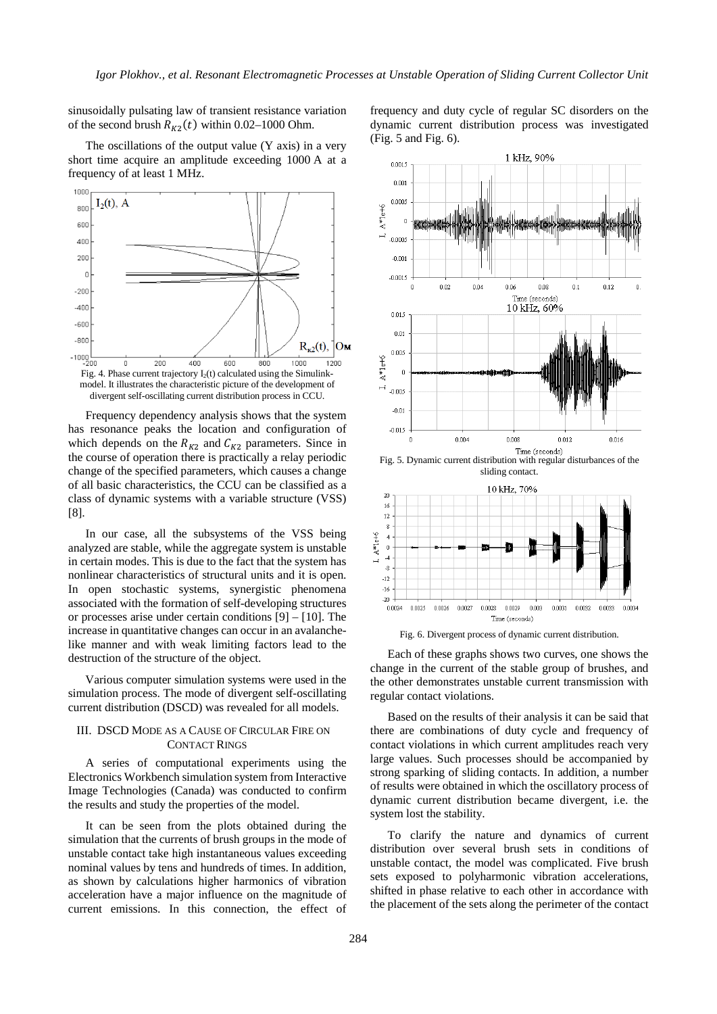sinusoidally pulsating law of transient resistance variation of the second brush  $R_{K2}(t)$  within 0.02–1000 Ohm.

The oscillations of the output value (Y axis) in a very short time acquire an amplitude exceeding 1000 A at a frequency of at least 1 MHz.



Frequency dependency analysis shows that the system has resonance peaks the location and configuration of which depends on the  $R_{K2}$  and  $C_{K2}$  parameters. Since in the course of operation there is practically a relay periodic change of the specified parameters, which causes a change of all basic characteristics, the CCU can be classified as a class of dynamic systems with a variable structure (VSS) [8].

In our case, all the subsystems of the VSS being analyzed are stable, while the aggregate system is unstable in certain modes. This is due to the fact that the system has nonlinear characteristics of structural units and it is open. In open stochastic systems, synergistic phenomena associated with the formation of self-developing structures or processes arise under certain conditions [9] – [10]. The increase in quantitative changes can occur in an avalanchelike manner and with weak limiting factors lead to the destruction of the structure of the object.

Various computer simulation systems were used in the simulation process. The mode of divergent self-oscillating current distribution (DSCD) was revealed for all models.

## III. DSCD MODE AS A CAUSE OF CIRCULAR FIRE ON CONTACT RINGS

A series of computational experiments using the Electronics Workbench simulation system from Interactive Image Technologies (Canada) was conducted to confirm the results and study the properties of the model.

It can be seen from the plots obtained during the simulation that the currents of brush groups in the mode of unstable contact take high instantaneous values exceeding nominal values by tens and hundreds of times. In addition, as shown by calculations higher harmonics of vibration acceleration have a major influence on the magnitude of current emissions. In this connection, the effect of



frequency and duty cycle of regular SC disorders on the



Fig. 5. Dynamic current distribution with regular disturbances of the sliding contact.

Time (seconds)



Fig. 6. Divergent process of dynamic current distribution.

Each of these graphs shows two curves, one shows the change in the current of the stable group of brushes, and the other demonstrates unstable current transmission with regular contact violations.

Based on the results of their analysis it can be said that there are combinations of duty cycle and frequency of contact violations in which current amplitudes reach very large values. Such processes should be accompanied by strong sparking of sliding contacts. In addition, a number of results were obtained in which the oscillatory process of dynamic current distribution became divergent, i.e. the system lost the stability.

To clarify the nature and dynamics of current distribution over several brush sets in conditions of unstable contact, the model was complicated. Five brush sets exposed to polyharmonic vibration accelerations, shifted in phase relative to each other in accordance with the placement of the sets along the perimeter of the contact